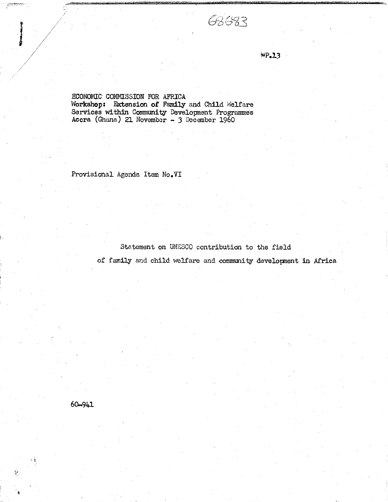## 68683

 $WP, 13$ 

ECONOMIC COMMISSION FOR AFRICA Workshop: Extension of Family and Child Welfare Services within Community Development Programmes<br>Accra (Ghana) 21 November - 3 December 1960

Provisional Agenda Item No.VI

Statement on UNESCO contribution to the field

of family and child welfare and community development in Africa

 $60 - 941$ 

 $\lambda_{\rm c}$ 

 $\sum_{i=1}^n$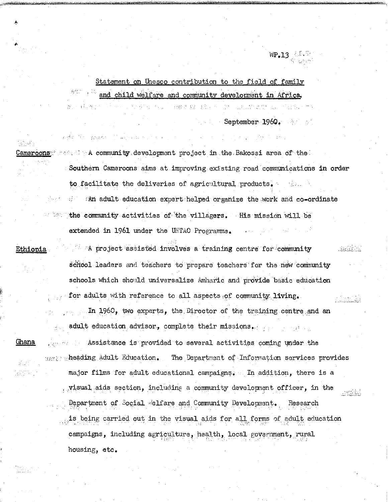Statement on Uhesco contribution to the field of family and child welfare and community development in Africa.

医细胞质 法侵犯

The property of a product of the

September 1960.

Cameroons are a finity at the community of the extended project in the Bakossi area of the Southern Cameroons aims at improving existing road communications in order to facilitate the deliveries of agricultural products. **• An adult education expert helped organize the work and co-ordinate**  $\sim$  " $\sim$  the community activities of the villagers. His mission will be extended in 1961 under the UNTAO Programme.

Ethiopia !A project assisted involves training centre for-community .ia-I school leaders and teachers to prepare teachers for the new community schools which should universalize Amharic and provide basic education for adults with reference to all aspects of community living. In I960, two experts, the. Director of the training centre.and an adult education advisor, complete their missions.:. ... ... ... Ghana ... Assistance is provided to several activities coming under the  $_{\text{unif}}$  . heading Adult Education. The Department of Information services provides major films for adult educational campaigns, In addition, there is a .visual aids section, including community development officer, in the seriki Department of Social -elfare and Community Development. Research is being carried out in the visual aids for all forms of adult education campaigns, including agriculture, health, local government, rural housing, etc.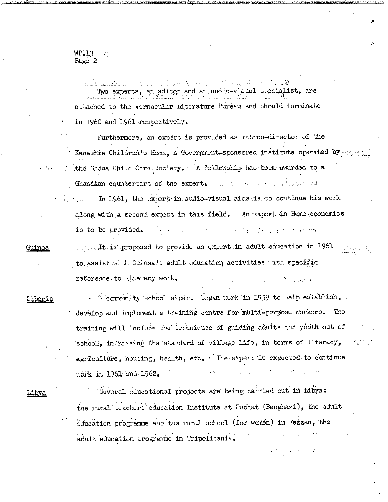## $WP.13$ Page 2

Two experts, an editor and an audio-visual specialist, are attached to the Vernacular Literature Bureau and should terminate in I960 and I96I respectively.

Furthermore, an expert is provided as matron-director of the Kaneshie Children's Home, a Government-sponsored institute operated by:;;;; the Ghana Child Care society. A fellowship has been awarded: to a Ghanaian counterpart. of the expert. All states are sensible of  $\mathcal{L}$  is the  $\mathcal{L}$  in  $1961$ , the expert-in audio-visual aids is to continue his work along with a second expert in this field. An expert in Home economics is to be provided, and is a set of the second state of the provided,

Guinea

... It is proposed to provide an expert in adult education in 1961  $\ldots$  to assist with Guinea's adult education activities with grecific reference to literacy work,  $\mathbf{I} = \{ \mathbf{I} : \mathbf{I} = \{ \mathbf{I} : \mathbf{I} = \{ \mathbf{I} : \mathbf{I} = \{ \mathbf{I} : \mathbf{I} = \{ \mathbf{I} : \mathbf{I} = \{ \mathbf{I} : \mathbf{I} = \{ \mathbf{I} : \mathbf{I} = \{ \mathbf{I} : \mathbf{I} = \{ \mathbf{I} : \mathbf{I} = \{ \mathbf{I} : \mathbf{I} = \{ \mathbf{I} : \mathbf{I} = \{ \mathbf{I} : \$ 

Liberia

A community school expert began work in 1959 to help establish, develop and implement a training centre for multi-purpose workers. The training will include the techniques of guiding adults and youth out of school', in-raising the standard of village life, in terms of literacy, agriculture, housing, health, etc.  $\mathbb{T}$  The expert is expected to continue work in 1961 and 1962.

Libya

Several educational projects are being carried out in Libya: the rural'teachers education Institute at Fuchat (Benghazi), the adult education programme and the rural school (for women) in Fezzan,'the adult education programme in Tripolitania.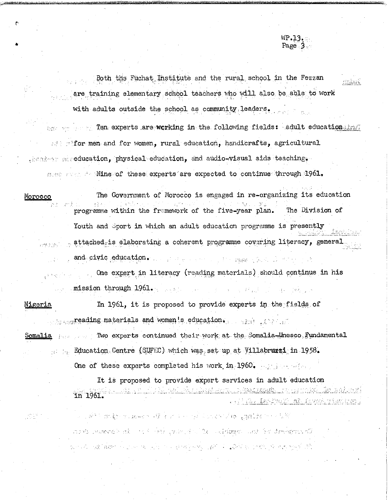Both the Fuchat Institute and the rural school in the Fezzan are training elementary school teachers who will also be able to work with adults outside the school as community leaders.

WP.13. Page 3.

nabuc.

box we see Ten. experts are working in the following fields: .adult education; had  $\mathbb{R}^n$ :  $\mathbb{R}^n$  men-and for women, rural education, handicrafts, agricultural , besides a seducation, physical education, and audio-visual aids teaching. mese reset for Nine of these experts are expected to continue through 1961.

Morocco **The Government of Morocco is engaged in re-organizing its education** 20年 - 太平 programme within the framework of the five-year plan. The Division of Youth and Sport in which an adult education programme is presently ..,r.. ., .. attached..;:is elaborating coherent programme covsr^g literacy, general.. and. civic education. .. .. :.,.f>y. ■-. ■\_ .=

> One expert in literacy (reading materials) should continue in his ...- mission through 1961. .,...-. 医甲氧基 医血管病 网络小说

Nigeria **In 1961**, it is proposed to provide experts in the fields of  $\ldots$ ,  $\ldots$ , reading materials and women!s education.  $\ldots$ 

Somalia , ... Two experts continued their work at the Somalia-Unesco, Fundamental ::::: Education Centre (SUFEC) which was set up at Villabruzzi; in 1958.

One of these experts completed his work in 1960, and also also

It is proposed to provide expert services in adult educationin 1961. <u>. duseas and al</u> <u>nta katang mga Kanakan</u> o shik<u>a . Ia</u>ramaki <u>. Ak</u> filmahirikat bar 2

month represents that the state of the second control and the demonstration the second compared in the second control of the second of the second control of the second state of the second state of the second state of the second state of the second state of the second state of the second state of t

and which makes the control of the state of the control of a production of the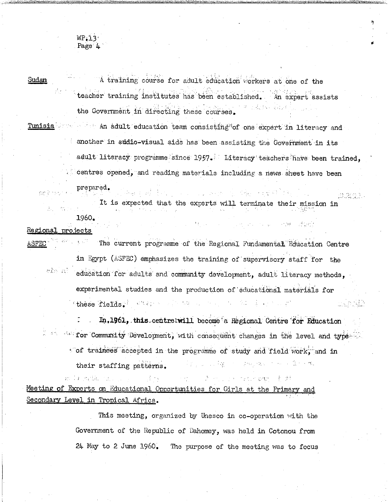WP.13 Page 4

Sudan The Theorem A training course for adult education workers at one of the teacher training institutes'has been established. 'An expert assists the Government in directing these courses.

 $T$ unisia ... value and adult education team consisting of one expert in literacy and another in audio-visual aids has been assisting the Government in its adult literacy programme since 1957. Literacy teachers have been trained, centres opened, and reading materials including a news sheet have been

prepared,

an da Santa She

It is expected that the experts will terminate their mission in I960.

at, en

man - F 31

Regional projects

 $\Delta SFEC$   $\longrightarrow$  The current programme of the Regional Fundamental Education Centre

in Egypt (ASFEC) emphasizes the training of'supervisory staff for the education for adults and community development, adult literacy methods, experimental studies and the production of educational materials for  $\epsilon$  these fields.  $\epsilon^{\pm}$  at  $\epsilon_{i}$  a.  $\epsilon_{i}$  is the set of set of  $\epsilon$  . The set of  $\epsilon$ 

E. In,1961, this centre will become a Regional Centre for Education  $\mathbb{Z}$  are seen community Development, with consequent changes in the level and type  $\mathbb{Z}$  $\sim$  of trainees accepted in the programme of study and field work, and in their staffing patterns. The state  $\mathbb{R}^n$  is the state  $\mathbb{R}^n$  in the state  $\mathbb{R}^n$ 

Meeting of Experts on Educational Opportunities for Girls at the Primary and Secondary Level in Tropical Africa.

> This meeting, organized by Unesco in co-operation with the Government of the Republic of Dahomey, was held in Cotonou from 24 May to 2 June i960. The purpose of the meeting was to focus